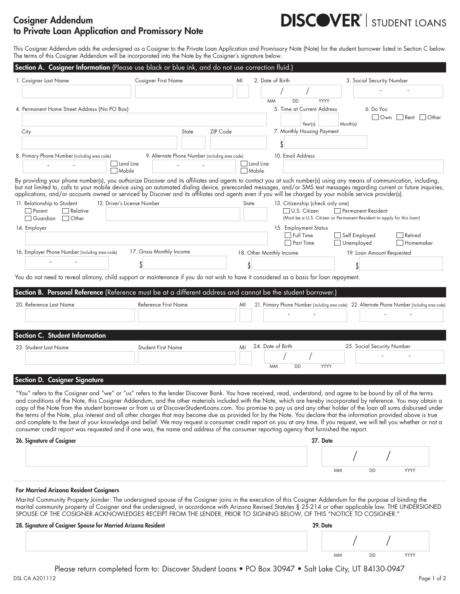## Cosigner Addendum to Private Loan Application and Promissory Note

# **DISCOVER**<sup>'</sup> | STUDENT LOANS

This Cosigner Addendum adds the undersigned as a Cosigner to the Private Loan Application and Promissory Note (Note) for the student borrower listed in Section C below. The terms of this Cosigner Addendum will be incorporated into the Note by the Cosigner's signature below.

| 1. Cosigner Last Name                                 | <b>Cosigner First Name</b>                                                                                                                                                                                                                                                                                                                                                                                                                                                                                     | 2. Date of Birth<br>MI            |                                  | 3. Social Security Number                                                                       |                             |
|-------------------------------------------------------|----------------------------------------------------------------------------------------------------------------------------------------------------------------------------------------------------------------------------------------------------------------------------------------------------------------------------------------------------------------------------------------------------------------------------------------------------------------------------------------------------------------|-----------------------------------|----------------------------------|-------------------------------------------------------------------------------------------------|-----------------------------|
|                                                       |                                                                                                                                                                                                                                                                                                                                                                                                                                                                                                                |                                   |                                  |                                                                                                 |                             |
|                                                       |                                                                                                                                                                                                                                                                                                                                                                                                                                                                                                                | <b>MM</b>                         | YYYY<br><b>DD</b>                |                                                                                                 |                             |
| 4. Permanent Home Street Address (No PO Box)          |                                                                                                                                                                                                                                                                                                                                                                                                                                                                                                                |                                   | 5. Time at Current Address       | 6. Do You                                                                                       | Own Rent Other              |
|                                                       |                                                                                                                                                                                                                                                                                                                                                                                                                                                                                                                |                                   | Year(s)                          | Month(s)                                                                                        |                             |
| City                                                  | State                                                                                                                                                                                                                                                                                                                                                                                                                                                                                                          | ZIP Code                          | 7. Monthly Housing Payment       |                                                                                                 |                             |
|                                                       |                                                                                                                                                                                                                                                                                                                                                                                                                                                                                                                |                                   |                                  |                                                                                                 |                             |
| 8. Primary Phone Number (including area code)         | 9. Alternate Phone Number (including area code)                                                                                                                                                                                                                                                                                                                                                                                                                                                                |                                   | 10. Email Address                |                                                                                                 |                             |
|                                                       | $\Box$ Land Line<br>□ Mobile                                                                                                                                                                                                                                                                                                                                                                                                                                                                                   | $\Box$ Land Line<br>$\Box$ Mobile |                                  |                                                                                                 |                             |
|                                                       | By providing your phone number(s), you authorize Discover and its affiliates and agents to contact you at such number(s) using any means of communication, including,<br>but not limited to, calls to your mobile device using an automated dialing device, prerecorded messages, and/or SMS text messages regarding current or future inquiries,<br>applications, and/or accounts owned or serviced by Discover and its affiliates and agents even if you will be charged by your mobile service provider(s). |                                   |                                  |                                                                                                 |                             |
| 11. Relationship to Student                           | 12. Driver's License Number                                                                                                                                                                                                                                                                                                                                                                                                                                                                                    | State                             | 13. Citizenship (check only one) |                                                                                                 |                             |
| Parent<br>$\Box$ Relative<br>Guardian<br><b>Other</b> |                                                                                                                                                                                                                                                                                                                                                                                                                                                                                                                |                                   | U.S. Citizen                     | Permanent Resident<br>(Must be a U.S. Citizen or Permanent Resident to apply for this loan)     |                             |
| 14. Employer                                          |                                                                                                                                                                                                                                                                                                                                                                                                                                                                                                                |                                   | 15. Employment Status            |                                                                                                 |                             |
|                                                       |                                                                                                                                                                                                                                                                                                                                                                                                                                                                                                                |                                   | $\Box$ Full Time<br>□ Part Time  | $\Box$ Self Employed<br>$\Box$ Unemployed                                                       | $\Box$ Retired<br>Homemaker |
| 16. Employer Phone Number (including area code)       | 17. Gross Monthly Income                                                                                                                                                                                                                                                                                                                                                                                                                                                                                       | 18. Other Monthly Income          |                                  | 19. Loan Amount Requested                                                                       |                             |
|                                                       |                                                                                                                                                                                                                                                                                                                                                                                                                                                                                                                |                                   |                                  |                                                                                                 |                             |
|                                                       | You do not need to reveal alimony, child support or maintenance if you do not wish to have it considered as a basis for loan repayment.                                                                                                                                                                                                                                                                                                                                                                        |                                   |                                  |                                                                                                 |                             |
|                                                       | Section B. Personal Reference (Reference must be at a different address and cannot be the student borrower.)                                                                                                                                                                                                                                                                                                                                                                                                   |                                   |                                  |                                                                                                 |                             |
| 20. Reference Last Name                               | <b>Reference First Name</b>                                                                                                                                                                                                                                                                                                                                                                                                                                                                                    | MI                                |                                  | 21. Primary Phone Number (including area code) 22. Alternate Phone Number (including area code) |                             |
|                                                       |                                                                                                                                                                                                                                                                                                                                                                                                                                                                                                                |                                   |                                  |                                                                                                 |                             |
|                                                       |                                                                                                                                                                                                                                                                                                                                                                                                                                                                                                                |                                   |                                  |                                                                                                 |                             |
| <b>Section C. Student Information</b>                 |                                                                                                                                                                                                                                                                                                                                                                                                                                                                                                                |                                   |                                  |                                                                                                 |                             |
| 23. Student Last Name                                 | <b>Student First Name</b>                                                                                                                                                                                                                                                                                                                                                                                                                                                                                      | 24. Date of Birth<br>MI           |                                  | 25. Social Security Number                                                                      |                             |
|                                                       |                                                                                                                                                                                                                                                                                                                                                                                                                                                                                                                |                                   |                                  |                                                                                                 |                             |
|                                                       |                                                                                                                                                                                                                                                                                                                                                                                                                                                                                                                | <b>MM</b>                         | DD<br>YYYY                       |                                                                                                 |                             |
| <b>Section D. Cosigner Signature</b>                  |                                                                                                                                                                                                                                                                                                                                                                                                                                                                                                                |                                   |                                  |                                                                                                 |                             |
|                                                       | "You" refers to the Cosigner and "we" or "us" refers to the lender Discover Bank. You have received, read, understand, and agree to be bound by all of the terms                                                                                                                                                                                                                                                                                                                                               |                                   |                                  |                                                                                                 |                             |
|                                                       | and conditions of the Note, this Cosigner Addendum, and the other materials included with the Note, which are hereby incorporated by reference. You may obtain a                                                                                                                                                                                                                                                                                                                                               |                                   |                                  |                                                                                                 |                             |
|                                                       | copy of the Note from the student borrower or from us at DiscoverStudentLoans.com. You promise to pay us and any other holder of the loan all sums disbursed under                                                                                                                                                                                                                                                                                                                                             |                                   |                                  |                                                                                                 |                             |
|                                                       | the terms of the Note, plus interest and all other charges that may become due as provided for by the Note. You declare that the information provided above is true<br>and complete to the best of your knowledge and belief. We may request a consumer credit report on you at any time. If you request, we will tell you whether or not a                                                                                                                                                                    |                                   |                                  |                                                                                                 |                             |

consumer credit report was requested and if one was, the name and address of the consumer reporting agency that furnished the report. 26. Signature of Cosigner 27. Date / /

#### For Married Arizona Resident Cosigners

Marital Community Property Joinder: The undersigned spouse of the Cosigner joins in the execution of this Cosigner Addendum for the purpose of binding the marital community property of Cosigner and the undersigned, in accordance with Arizona Revised Statutes § 25-214 or other applicable law. THE UNDERSIGNED SPOUSE OF THE COSIGNER ACKNOWLEDGES RECEIPT FROM THE LENDER, PRIOR TO SIGNING BELOW, OF THIS "NOTICE TO COSIGNER."

| 28. Signature of Cosigner Spouse for Married Arizona Resident |  | 29. Date |           |    |     |  |
|---------------------------------------------------------------|--|----------|-----------|----|-----|--|
|                                                               |  |          |           |    |     |  |
|                                                               |  |          | <b>MM</b> | DD | YYY |  |

MM DD YYYY